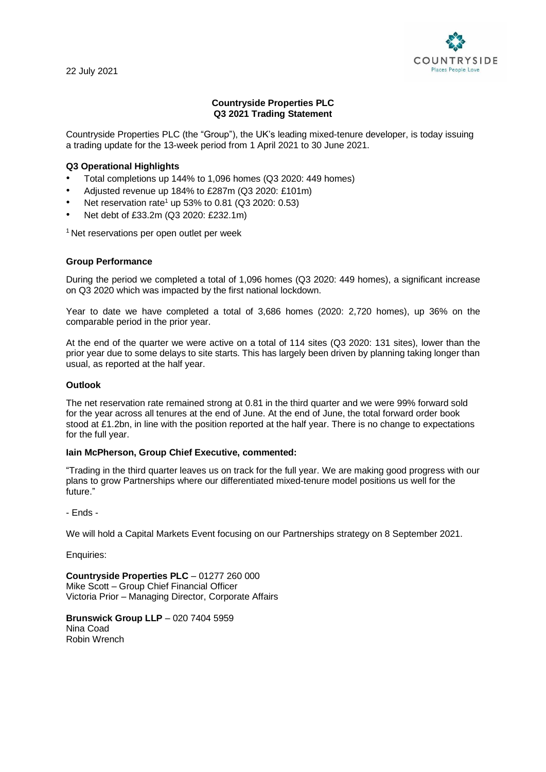22 July 2021



# **Countryside Properties PLC Q3 2021 Trading Statement**

Countryside Properties PLC (the "Group"), the UK's leading mixed-tenure developer, is today issuing a trading update for the 13-week period from 1 April 2021 to 30 June 2021.

# **Q3 Operational Highlights**

- Total completions up 144% to 1,096 homes (Q3 2020: 449 homes)
- Adjusted revenue up 184% to £287m (Q3 2020: £101m)
- Net reservation rate<sup>1</sup> up 53% to 0.81 ( $Q3$  2020: 0.53)
- Net debt of £33.2m (Q3 2020: £232.1m)

<sup>1</sup> Net reservations per open outlet per week

## **Group Performance**

During the period we completed a total of 1,096 homes (Q3 2020: 449 homes), a significant increase on Q3 2020 which was impacted by the first national lockdown.

Year to date we have completed a total of 3,686 homes (2020: 2,720 homes), up 36% on the comparable period in the prior year.

At the end of the quarter we were active on a total of 114 sites (Q3 2020: 131 sites), lower than the prior year due to some delays to site starts. This has largely been driven by planning taking longer than usual, as reported at the half year.

### **Outlook**

The net reservation rate remained strong at 0.81 in the third quarter and we were 99% forward sold for the year across all tenures at the end of June. At the end of June, the total forward order book stood at £1.2bn, in line with the position reported at the half year. There is no change to expectations for the full year.

#### **Iain McPherson, Group Chief Executive, commented:**

"Trading in the third quarter leaves us on track for the full year. We are making good progress with our plans to grow Partnerships where our differentiated mixed-tenure model positions us well for the future."

- Ends -

We will hold a Capital Markets Event focusing on our Partnerships strategy on 8 September 2021.

Enquiries:

**Countryside Properties PLC** – 01277 260 000 Mike Scott – Group Chief Financial Officer Victoria Prior – Managing Director, Corporate Affairs

**Brunswick Group LLP** – 020 7404 5959 Nina Coad Robin Wrench